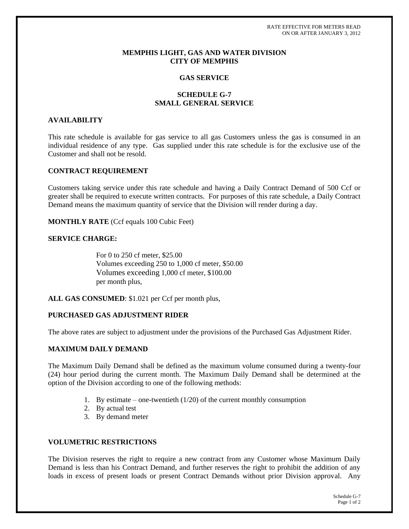RATE EFFECTIVE FOR METERS READ ON OR AFTER JANUARY 3, 2012

### **MEMPHIS LIGHT, GAS AND WATER DIVISION CITY OF MEMPHIS**

#### **GAS SERVICE**

# **SCHEDULE G-7 SMALL GENERAL SERVICE**

#### **AVAILABILITY**

This rate schedule is available for gas service to all gas Customers unless the gas is consumed in an individual residence of any type. Gas supplied under this rate schedule is for the exclusive use of the Customer and shall not be resold.

#### **CONTRACT REQUIREMENT**

Customers taking service under this rate schedule and having a Daily Contract Demand of 500 Ccf or greater shall be required to execute written contracts. For purposes of this rate schedule, a Daily Contract Demand means the maximum quantity of service that the Division will render during a day.

**MONTHLY RATE** (Ccf equals 100 Cubic Feet)

### **SERVICE CHARGE:**

For 0 to 250 cf meter, \$25.00 Volumes exceeding 250 to 1,000 cf meter, \$50.00 Volumes exceeding 1,000 cf meter, \$100.00 per month plus,

**ALL GAS CONSUMED**: \$1.021 per Ccf per month plus,

### **PURCHASED GAS ADJUSTMENT RIDER**

The above rates are subject to adjustment under the provisions of the Purchased Gas Adjustment Rider.

### **MAXIMUM DAILY DEMAND**

The Maximum Daily Demand shall be defined as the maximum volume consumed during a twenty-four (24) hour period during the current month. The Maximum Daily Demand shall be determined at the option of the Division according to one of the following methods:

- 1. By estimate one-twentieth (1/20) of the current monthly consumption
- 2. By actual test
- 3. By demand meter

#### **VOLUMETRIC RESTRICTIONS**

The Division reserves the right to require a new contract from any Customer whose Maximum Daily Demand is less than his Contract Demand, and further reserves the right to prohibit the addition of any loads in excess of present loads or present Contract Demands without prior Division approval. Any